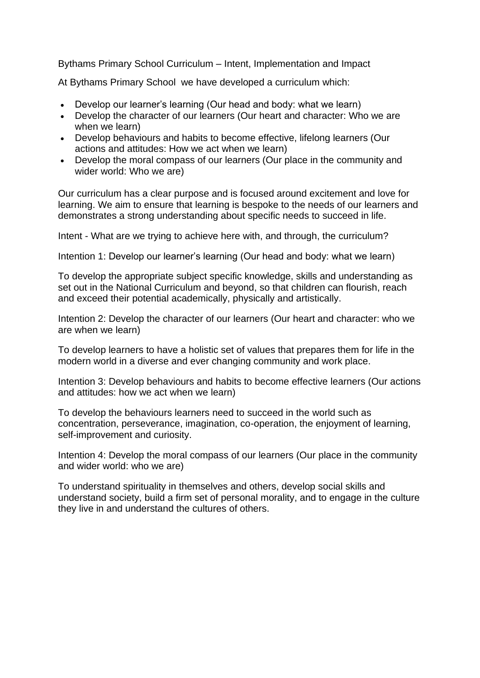Bythams Primary School Curriculum – Intent, Implementation and Impact

At Bythams Primary School we have developed a curriculum which:

- Develop our learner's learning (Our head and body: what we learn)
- Develop the character of our learners (Our heart and character: Who we are when we learn)
- Develop behaviours and habits to become effective, lifelong learners (Our actions and attitudes: How we act when we learn)
- Develop the moral compass of our learners (Our place in the community and wider world: Who we are)

Our curriculum has a clear purpose and is focused around excitement and love for learning. We aim to ensure that learning is bespoke to the needs of our learners and demonstrates a strong understanding about specific needs to succeed in life.

Intent - What are we trying to achieve here with, and through, the curriculum?

Intention 1: Develop our learner's learning (Our head and body: what we learn)

To develop the appropriate subject specific knowledge, skills and understanding as set out in the National Curriculum and beyond, so that children can flourish, reach and exceed their potential academically, physically and artistically.

Intention 2: Develop the character of our learners (Our heart and character: who we are when we learn)

To develop learners to have a holistic set of values that prepares them for life in the modern world in a diverse and ever changing community and work place.

Intention 3: Develop behaviours and habits to become effective learners (Our actions and attitudes: how we act when we learn)

To develop the behaviours learners need to succeed in the world such as concentration, perseverance, imagination, co-operation, the enjoyment of learning, self-improvement and curiosity.

Intention 4: Develop the moral compass of our learners (Our place in the community and wider world: who we are)

To understand spirituality in themselves and others, develop social skills and understand society, build a firm set of personal morality, and to engage in the culture they live in and understand the cultures of others.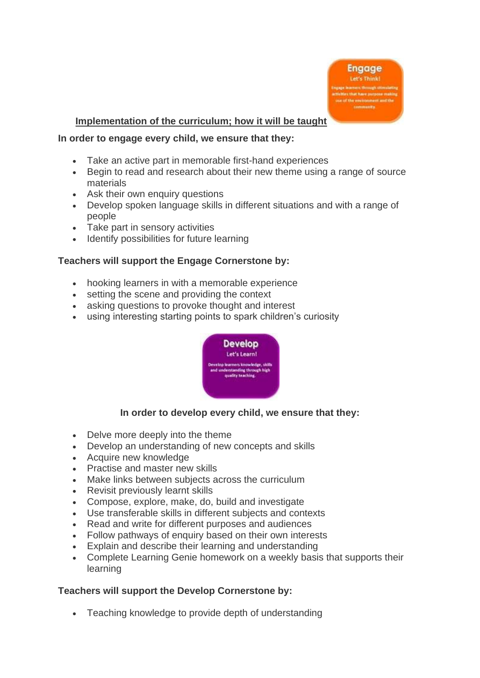

## **Implementation of the curriculum; how it will be taught**

#### **In order to engage every child, we ensure that they:**

- Take an active part in memorable first-hand experiences
- Begin to read and research about their new theme using a range of source materials
- Ask their own enquiry questions
- Develop spoken language skills in different situations and with a range of people
- Take part in sensory activities
- Identify possibilities for future learning

### **Teachers will support the Engage Cornerstone by:**

- hooking learners in with a memorable experience
- setting the scene and providing the context
- asking questions to provoke thought and interest
- using interesting starting points to spark children's curiosity



### **In order to develop every child, we ensure that they:**

- Delve more deeply into the theme
- Develop an understanding of new concepts and skills
- Acquire new knowledge
- Practise and master new skills
- Make links between subjects across the curriculum
- Revisit previously learnt skills
- Compose, explore, make, do, build and investigate
- Use transferable skills in different subjects and contexts
- Read and write for different purposes and audiences
- Follow pathways of enquiry based on their own interests
- Explain and describe their learning and understanding
- Complete Learning Genie homework on a weekly basis that supports their learning

### **Teachers will support the Develop Cornerstone by:**

• Teaching knowledge to provide depth of understanding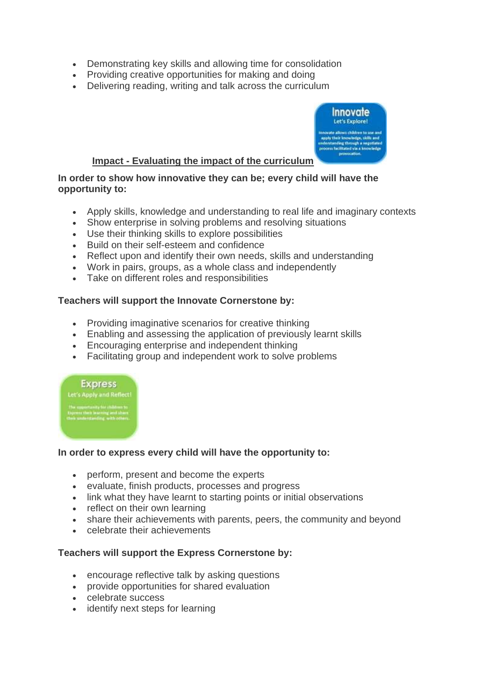- Demonstrating key skills and allowing time for consolidation
- Providing creative opportunities for making and doing
- Delivering reading, writing and talk across the curriculum



# **Impact - Evaluating the impact of the curriculum**

**In order to show how innovative they can be; every child will have the opportunity to:**

- Apply skills, knowledge and understanding to real life and imaginary contexts
- Show enterprise in solving problems and resolving situations
- Use their thinking skills to explore possibilities
- Build on their self-esteem and confidence
- Reflect upon and identify their own needs, skills and understanding
- Work in pairs, groups, as a whole class and independently
- Take on different roles and responsibilities

## **Teachers will support the Innovate Cornerstone by:**

- Providing imaginative scenarios for creative thinking
- Enabling and assessing the application of previously learnt skills
- Encouraging enterprise and independent thinking
- Facilitating group and independent work to solve problems

#### **Express**

Let's Apply and Reflect!

# **In order to express every child will have the opportunity to:**

- perform, present and become the experts
- evaluate, finish products, processes and progress
- link what they have learnt to starting points or initial observations
- reflect on their own learning
- share their achievements with parents, peers, the community and beyond
- celebrate their achievements

# **Teachers will support the Express Cornerstone by:**

- encourage reflective talk by asking questions
- provide opportunities for shared evaluation
- celebrate success
- identify next steps for learning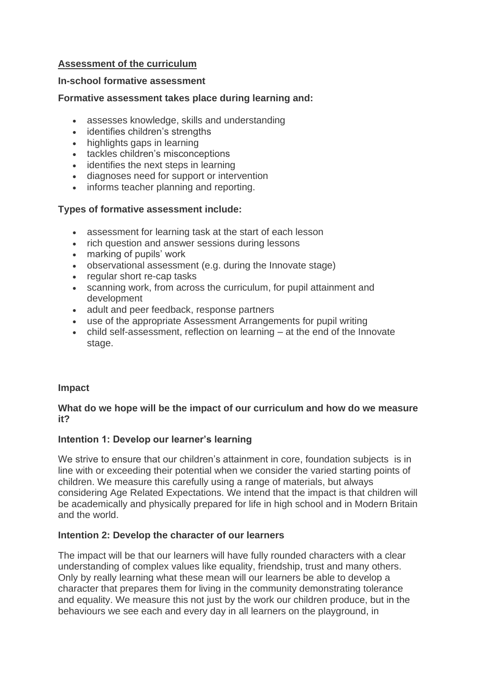# **Assessment of the curriculum**

## **In-school formative assessment**

## **Formative assessment takes place during learning and:**

- assesses knowledge, skills and understanding
- identifies children's strengths
- highlights gaps in learning
- tackles children's misconceptions
- identifies the next steps in learning
- diagnoses need for support or intervention
- informs teacher planning and reporting.

## **Types of formative assessment include:**

- assessment for learning task at the start of each lesson
- rich question and answer sessions during lessons
- marking of pupils' work
- observational assessment (e.g. during the Innovate stage)
- regular short re-cap tasks
- scanning work, from across the curriculum, for pupil attainment and development
- adult and peer feedback, response partners
- use of the appropriate Assessment Arrangements for pupil writing
- child self-assessment, reflection on learning at the end of the Innovate stage.

### **Impact**

## **What do we hope will be the impact of our curriculum and how do we measure it?**

# **Intention 1: Develop our learner's learning**

We strive to ensure that our children's attainment in core, foundation subjects is in line with or exceeding their potential when we consider the varied starting points of children. We measure this carefully using a range of materials, but always considering Age Related Expectations. We intend that the impact is that children will be academically and physically prepared for life in high school and in Modern Britain and the world.

### **Intention 2: Develop the character of our learners**

The impact will be that our learners will have fully rounded characters with a clear understanding of complex values like equality, friendship, trust and many others. Only by really learning what these mean will our learners be able to develop a character that prepares them for living in the community demonstrating tolerance and equality. We measure this not just by the work our children produce, but in the behaviours we see each and every day in all learners on the playground, in